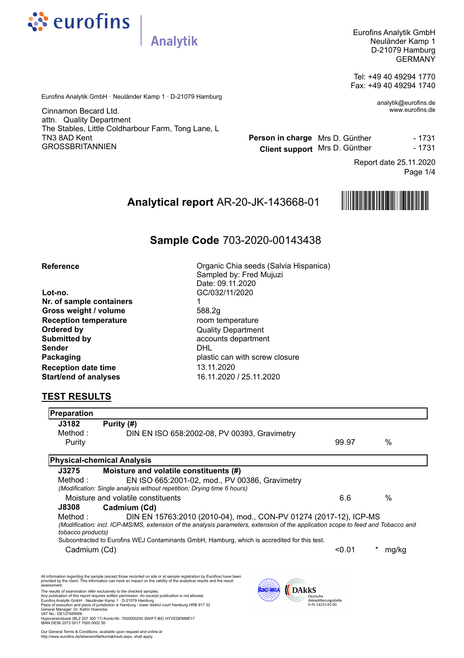

Eurofins Analytik GmbH Neuländer Kamp 1 D-21079 Hamburg GERMANY

Tel: +49 40 49294 1770 Fax: +49 40 49294 1740

> analytik@eurofins.de www.eurofins.de

Eurofins Analytik GmbH · Neuländer Kamp 1 · D-21079 Hamburg

**Analytik** 

Cinnamon Becard Ltd. attn. Quality Department The Stables, Little Coldharbour Farm, Tong Lane, L TN3 8AD Kent GROSSBRITANNIEN

**Person in charge** Mrs D. Günther **Company** - 1731 **Client support** Mrs D. Günther 1 - 1731

> Page 1/4 Report date 25.11.2020

# **Analytical report** AR-20-JK-143668-01



# **Sample Code** 703-2020-00143438

#### **Reference**

**Lot-no.** GC/032/11/2020 **Nr. of sample containers** 1 **Gross weight / volume** 588,2g **Reception temperature** room temperature **Ordered by** Quality Department **Submitted by** accounts department **Reception date time** 13.11.2020 **Start/end of analyses** 16.11.2020 / 25.11.2020

Sampled by: Fred Mujuzi Date: 09.11.2020 **Sender** DHL **Packaging plastic can with screw closure** 

Organic Chia seeds (Salvia Hispanica)

# **TEST RESULTS**

| <b>Preparation</b>                   |                                                                                                                                                                                                                                              |                       |       |
|--------------------------------------|----------------------------------------------------------------------------------------------------------------------------------------------------------------------------------------------------------------------------------------------|-----------------------|-------|
| J3182                                | Purity (#)                                                                                                                                                                                                                                   |                       |       |
| Method :                             | DIN EN ISO 658:2002-08, PV 00393, Gravimetry                                                                                                                                                                                                 |                       |       |
| Purity                               |                                                                                                                                                                                                                                              | 99.97                 | $\%$  |
|                                      | <b>Physical-chemical Analysis</b>                                                                                                                                                                                                            |                       |       |
| J3275                                | Moisture and volatile constituents (#)                                                                                                                                                                                                       |                       |       |
| Method :                             | EN ISO 665:2001-02, mod., PV 00386, Gravimetry                                                                                                                                                                                               |                       |       |
|                                      | (Modification: Single analysis without repetition; Drying time 6 hours)                                                                                                                                                                      |                       |       |
|                                      | Moisture and volatile constituents                                                                                                                                                                                                           | 6.6                   | $\%$  |
| <b>J8308</b>                         | Cadmium (Cd)                                                                                                                                                                                                                                 |                       |       |
| Method :                             | DIN EN 15763:2010 (2010-04), mod., CON-PV 01274 (2017-12), ICP-MS                                                                                                                                                                            |                       |       |
| tobacco products)                    | (Modification: incl. ICP-MS/MS, extension of the analysis parameters, extension of the application scope to feed and Tobacco and                                                                                                             |                       |       |
|                                      | Subcontracted to Eurofins WEJ Contaminants GmbH, Hamburg, which is accredited for this test.                                                                                                                                                 |                       |       |
| Cadmium (Cd)                         |                                                                                                                                                                                                                                              | < 0.01                | mg/kg |
|                                      |                                                                                                                                                                                                                                              |                       |       |
|                                      | All information regarding the sample (except those recorded on site or at sample registration by Eurofins) have been<br>provided by the client. This information can have an impact on the validity of the analytical results and the result |                       |       |
| assessment                           | DAkkS<br>The results of examination refer exclusively to the checked samples.                                                                                                                                                                |                       |       |
|                                      | Any publication of this report requires written permission. An excerpt publication is not allowed.<br>Eurofins Analytik GmbH · Neuländer Kamp 1 · D-21079 Hamburg                                                                            | Akkreditierungsstelle |       |
| General Manager: Dr. Katrin Hoenicke | Place of execution and place of jurisdiction is Hamburg - lower district court Hamburg HRB 917 32                                                                                                                                            | D-PL-14251-01-00      |       |
| VAT No.: DE127489506                 | Hypovereinsbank (BLZ 207 300 17) Konto-Nr. 7000000250 SWIFT-BIC HYVEDEMME17                                                                                                                                                                  |                       |       |
| IBAN DE56 2073 0017 7000 0002 50     |                                                                                                                                                                                                                                              |                       |       |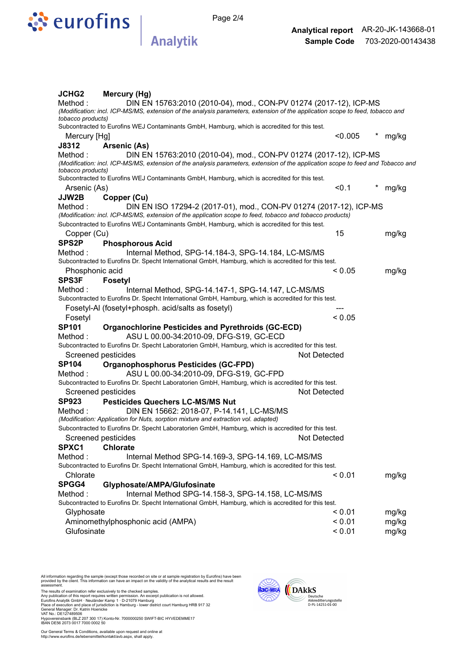

Page 2/4

|                                                                                                      | <b>JCHG2</b><br>Mercury (Hg)                                                                                                                          |                                                                    |       |  |  |  |  |
|------------------------------------------------------------------------------------------------------|-------------------------------------------------------------------------------------------------------------------------------------------------------|--------------------------------------------------------------------|-------|--|--|--|--|
|                                                                                                      | Method:                                                                                                                                               | DIN EN 15763:2010 (2010-04), mod., CON-PV 01274 (2017-12), ICP-MS  |       |  |  |  |  |
|                                                                                                      | (Modification: incl. ICP-MS/MS, extension of the analysis parameters, extension of the application scope to feed, tobacco and                         |                                                                    |       |  |  |  |  |
|                                                                                                      | tobacco products)                                                                                                                                     |                                                                    |       |  |  |  |  |
|                                                                                                      | Subcontracted to Eurofins WEJ Contaminants GmbH, Hamburg, which is accredited for this test.                                                          |                                                                    |       |  |  |  |  |
|                                                                                                      | Mercury [Hg]                                                                                                                                          | < 0.005                                                            | mg/kg |  |  |  |  |
|                                                                                                      | J8312<br><b>Arsenic (As)</b>                                                                                                                          |                                                                    |       |  |  |  |  |
|                                                                                                      | Method:                                                                                                                                               | DIN EN 15763:2010 (2010-04), mod., CON-PV 01274 (2017-12), ICP-MS  |       |  |  |  |  |
|                                                                                                      | (Modification: incl. ICP-MS/MS, extension of the analysis parameters, extension of the application scope to feed and Tobacco and<br>tobacco products) |                                                                    |       |  |  |  |  |
|                                                                                                      | Subcontracted to Eurofins WEJ Contaminants GmbH, Hamburg, which is accredited for this test.                                                          |                                                                    |       |  |  |  |  |
|                                                                                                      | Arsenic (As)                                                                                                                                          | < 0.1                                                              | mg/kg |  |  |  |  |
|                                                                                                      | JJW2B<br>Copper (Cu)                                                                                                                                  |                                                                    |       |  |  |  |  |
|                                                                                                      | Method:                                                                                                                                               | DIN EN ISO 17294-2 (2017-01), mod., CON-PV 01274 (2017-12), ICP-MS |       |  |  |  |  |
|                                                                                                      | (Modification: incl. ICP-MS/MS, extension of the application scope to feed, tobacco and tobacco products)                                             |                                                                    |       |  |  |  |  |
|                                                                                                      | Subcontracted to Eurofins WEJ Contaminants GmbH, Hamburg, which is accredited for this test.                                                          |                                                                    |       |  |  |  |  |
|                                                                                                      | Copper (Cu)                                                                                                                                           | 15                                                                 | mg/kg |  |  |  |  |
|                                                                                                      | SPS <sub>2P</sub><br><b>Phosphorous Acid</b>                                                                                                          |                                                                    |       |  |  |  |  |
|                                                                                                      | Method:<br>Internal Method, SPG-14.184-3, SPG-14.184, LC-MS/MS                                                                                        |                                                                    |       |  |  |  |  |
|                                                                                                      | Subcontracted to Eurofins Dr. Specht International GmbH, Hamburg, which is accredited for this test.                                                  |                                                                    |       |  |  |  |  |
|                                                                                                      | Phosphonic acid                                                                                                                                       | ${}_{0.05}$                                                        | mg/kg |  |  |  |  |
|                                                                                                      | SPS3F<br><b>Fosetyl</b>                                                                                                                               |                                                                    |       |  |  |  |  |
|                                                                                                      | Method:<br>Internal Method, SPG-14.147-1, SPG-14.147, LC-MS/MS                                                                                        |                                                                    |       |  |  |  |  |
| Subcontracted to Eurofins Dr. Specht International GmbH, Hamburg, which is accredited for this test. |                                                                                                                                                       |                                                                    |       |  |  |  |  |
|                                                                                                      | Fosetyl-AI (fosetyl+phosph. acid/salts as fosetyl)                                                                                                    |                                                                    |       |  |  |  |  |
|                                                                                                      | Fosetyl                                                                                                                                               | < 0.05                                                             |       |  |  |  |  |
|                                                                                                      | <b>SP101</b><br><b>Organochlorine Pesticides and Pyrethroids (GC-ECD)</b>                                                                             |                                                                    |       |  |  |  |  |
|                                                                                                      | Method:<br>ASU L 00.00-34:2010-09, DFG-S19, GC-ECD                                                                                                    |                                                                    |       |  |  |  |  |
|                                                                                                      | Subcontracted to Eurofins Dr. Specht Laboratorien GmbH, Hamburg, which is accredited for this test.                                                   |                                                                    |       |  |  |  |  |
|                                                                                                      | Screened pesticides                                                                                                                                   | <b>Not Detected</b>                                                |       |  |  |  |  |
|                                                                                                      | <b>SP104</b><br><b>Organophosphorus Pesticides (GC-FPD)</b>                                                                                           |                                                                    |       |  |  |  |  |
|                                                                                                      | Method:<br>ASU L 00.00-34:2010-09, DFG-S19, GC-FPD                                                                                                    |                                                                    |       |  |  |  |  |
|                                                                                                      | Subcontracted to Eurofins Dr. Specht Laboratorien GmbH, Hamburg, which is accredited for this test.                                                   |                                                                    |       |  |  |  |  |
|                                                                                                      | Screened pesticides                                                                                                                                   | <b>Not Detected</b>                                                |       |  |  |  |  |
|                                                                                                      | <b>SP923</b><br><b>Pesticides Quechers LC-MS/MS Nut</b>                                                                                               |                                                                    |       |  |  |  |  |
|                                                                                                      | Method:<br>DIN EN 15662: 2018-07, P-14.141, LC-MS/MS                                                                                                  |                                                                    |       |  |  |  |  |
|                                                                                                      | (Modification: Application for Nuts, sorption mixture and extraction vol. adapted)                                                                    |                                                                    |       |  |  |  |  |
|                                                                                                      | Subcontracted to Eurofins Dr. Specht Laboratorien GmbH, Hamburg, which is accredited for this test.                                                   |                                                                    |       |  |  |  |  |
|                                                                                                      | Screened pesticides                                                                                                                                   | Not Detected                                                       |       |  |  |  |  |
|                                                                                                      | SPXC1<br><b>Chlorate</b>                                                                                                                              |                                                                    |       |  |  |  |  |
|                                                                                                      | Method:<br>Internal Method SPG-14.169-3, SPG-14.169, LC-MS/MS                                                                                         |                                                                    |       |  |  |  |  |
|                                                                                                      | Subcontracted to Eurofins Dr. Specht International GmbH, Hamburg, which is accredited for this test.                                                  |                                                                    |       |  |  |  |  |
|                                                                                                      | Chlorate                                                                                                                                              | < 0.01                                                             | mg/kg |  |  |  |  |
|                                                                                                      | SPGG4<br>Glyphosate/AMPA/Glufosinate                                                                                                                  |                                                                    |       |  |  |  |  |
|                                                                                                      | Method:<br>Internal Method SPG-14.158-3, SPG-14.158, LC-MS/MS                                                                                         |                                                                    |       |  |  |  |  |
|                                                                                                      | Subcontracted to Eurofins Dr. Specht International GmbH, Hamburg, which is accredited for this test.                                                  |                                                                    |       |  |  |  |  |
|                                                                                                      | Glyphosate                                                                                                                                            | < 0.01                                                             | mg/kg |  |  |  |  |
|                                                                                                      | Aminomethylphosphonic acid (AMPA)                                                                                                                     | < 0.01                                                             | mg/kg |  |  |  |  |
|                                                                                                      | Glufosinate                                                                                                                                           | < 0.01                                                             | mg/kg |  |  |  |  |
|                                                                                                      |                                                                                                                                                       |                                                                    |       |  |  |  |  |

All information regarding the sample (except those recorded on site or at sample registration by Eurofins) have been<br>provided by the client. This information can have an impact on the validity of the analytical results an

The results of examination refer exclusively to the checked samples.<br>Any publication of this report requires written permission. An except publication is not allowed.<br>Furofins Analytik GmbH · Neulander Kamp 1 · D-21079 Ham

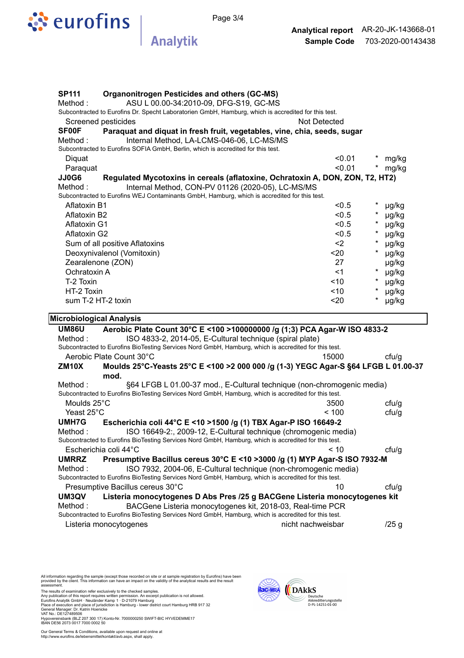

**Analytik** 

| <b>SP111</b>                                                                                      | <b>Organonitrogen Pesticides and others (GC-MS)</b>                                                  |                   |                               |                                  |              |  |      |         |       |
|---------------------------------------------------------------------------------------------------|------------------------------------------------------------------------------------------------------|-------------------|-------------------------------|----------------------------------|--------------|--|------|---------|-------|
| ASU L 00.00-34:2010-09, DFG-S19, GC-MS<br>Method:                                                 |                                                                                                      |                   |                               |                                  |              |  |      |         |       |
|                                                                                                   | Subcontracted to Eurofins Dr. Specht Laboratorien GmbH, Hamburg, which is accredited for this test.  |                   |                               |                                  |              |  |      |         |       |
|                                                                                                   | Screened pesticides                                                                                  | Not Detected      |                               |                                  |              |  |      |         |       |
| <b>SF00F</b>                                                                                      | Paraquat and diquat in fresh fruit, vegetables, vine, chia, seeds, sugar                             |                   |                               |                                  |              |  |      |         |       |
| Method:                                                                                           | Internal Method, LA-LCMS-046-06, LC-MS/MS                                                            |                   |                               |                                  |              |  |      |         |       |
|                                                                                                   | Subcontracted to Eurofins SOFIA GmbH, Berlin, which is accredited for this test.                     |                   |                               |                                  |              |  |      |         |       |
| Diguat                                                                                            |                                                                                                      | < 0.01            |                               | mg/kg                            |              |  |      |         |       |
| Paraquat                                                                                          |                                                                                                      | < 0.01            | $\star$                       | mg/kg                            |              |  |      |         |       |
| JJ0G6                                                                                             | Regulated Mycotoxins in cereals (aflatoxine, Ochratoxin A, DON, ZON, T2, HT2)                        |                   |                               |                                  |              |  |      |         |       |
| Method:                                                                                           | Internal Method, CON-PV 01126 (2020-05), LC-MS/MS                                                    |                   |                               |                                  |              |  |      |         |       |
|                                                                                                   | Subcontracted to Eurofins WEJ Contaminants GmbH, Hamburg, which is accredited for this test.         |                   |                               |                                  |              |  |      |         |       |
| <b>Aflatoxin B1</b>                                                                               |                                                                                                      | < 0.5             |                               | µg/kg                            |              |  |      |         |       |
| Aflatoxin B2                                                                                      |                                                                                                      | < 0.5             |                               | µg/kg                            |              |  |      |         |       |
| Aflatoxin G1                                                                                      |                                                                                                      | < 0.5             |                               | µg/kg                            |              |  |      |         |       |
| Aflatoxin G2<br>Sum of all positive Aflatoxins<br>Deoxynivalenol (Vomitoxin)<br>Zearalenone (ZON) |                                                                                                      | < 0.5             | $\star$<br>$\star$<br>$\star$ | µg/kg<br>µg/kg<br>µg/kg<br>µg/kg |              |  |      |         |       |
|                                                                                                   |                                                                                                      | $2$<br>$20$<br>27 |                               |                                  |              |  |      |         |       |
|                                                                                                   |                                                                                                      |                   |                               |                                  | Ochratoxin A |  | < 1  | $\star$ | µg/kg |
|                                                                                                   |                                                                                                      |                   |                               |                                  | T-2 Toxin    |  | < 10 | $\ast$  | µg/kg |
| HT-2 Toxin                                                                                        |                                                                                                      | <10               | $\ast$                        | µg/kg                            |              |  |      |         |       |
|                                                                                                   | sum T-2 HT-2 toxin                                                                                   | $20$              | $\ast$                        | µg/kg                            |              |  |      |         |       |
|                                                                                                   | <b>Microbiological Analysis</b>                                                                      |                   |                               |                                  |              |  |      |         |       |
| <b>UM86U</b>                                                                                      | Aerobic Plate Count 30°C E < 100 > 100000000 /g (1;3) PCA Agar-W ISO 4833-2                          |                   |                               |                                  |              |  |      |         |       |
| Method:                                                                                           | ISO 4833-2, 2014-05, E-Cultural technique (spiral plate)                                             |                   |                               |                                  |              |  |      |         |       |
|                                                                                                   | Subcontracted to Eurofins BioTesting Services Nord GmbH, Hamburg, which is accredited for this test. |                   |                               |                                  |              |  |      |         |       |
|                                                                                                   | Aerobic Plate Count 30°C                                                                             | 15000             |                               | ctu/g                            |              |  |      |         |       |
| <b>ZM10X</b>                                                                                      | Moulds 25°C-Yeasts 25°C E <100 > 2000 000 /g (1-3) YEGC Agar-S §64 LFGB L 01.00-37<br>mod.           |                   |                               |                                  |              |  |      |         |       |
| Method:                                                                                           | §64 LFGB L 01.00-37 mod., E-Cultural technique (non-chromogenic media)                               |                   |                               |                                  |              |  |      |         |       |
|                                                                                                   | Subcontracted to Eurofins BioTesting Services Nord GmbH, Hamburg, which is accredited for this test. |                   |                               |                                  |              |  |      |         |       |
| Moulds 25°C                                                                                       |                                                                                                      | 3500              |                               | ctu/g                            |              |  |      |         |       |
| Yeast 25°C                                                                                        |                                                                                                      | < 100             |                               | ctu/g                            |              |  |      |         |       |
| <b>UMH7G</b>                                                                                      | Escherichia coli 44°C E <10 >1500 /g (1) TBX Agar-P ISO 16649-2                                      |                   |                               |                                  |              |  |      |         |       |
| Method:                                                                                           | ISO 16649-2:, 2009-12, E-Cultural technique (chromogenic media)                                      |                   |                               |                                  |              |  |      |         |       |
|                                                                                                   | Subcontracted to Eurofins BioTesting Services Nord GmbH, Hamburg, which is accredited for this test. |                   |                               |                                  |              |  |      |         |       |
|                                                                                                   | Escherichia coli 44°C                                                                                | $~<$ 10           |                               | ctu/g                            |              |  |      |         |       |
| <b>UMRRZ</b>                                                                                      | Presumptive Bacillus cereus 30°C E <10 > 3000 /g (1) MYP Agar-S ISO 7932-M                           |                   |                               |                                  |              |  |      |         |       |
| Method :                                                                                          | ISO 7932, 2004-06, E-Cultural technique (non-chromogenic media)                                      |                   |                               |                                  |              |  |      |         |       |
|                                                                                                   |                                                                                                      |                   |                               |                                  |              |  |      |         |       |

Subcontracted to Eurofins BioTesting Services Nord GmbH, Hamburg, which is accredited for this test. Presumptive Bacillus cereus 30°C 10 cfu/g **UM3QV Listeria monocytogenes D Abs Pres /25 g BACGene Listeria monocytogenes kit** 

Method : BACGene Listeria monocytogenes kit, 2018-03, Real-time PCR Subcontracted to Eurofins BioTesting Services Nord GmbH, Hamburg, which is accredited for this test.

Listeria monocytogenes nicht nachweisbar 125 g

All information regarding the sample (except those recorded on site or at sample registration by Eurofins) have been<br>provided by the client. This information can have an impact on the validity of the analytical results an

The results of examination refer exclusively to the checked samples.<br>Any publication of this report requires written permission. An except publication is not allowed.<br>Furofins Analytik GmbH · Neulander Kamp 1 · D-21079 Ham